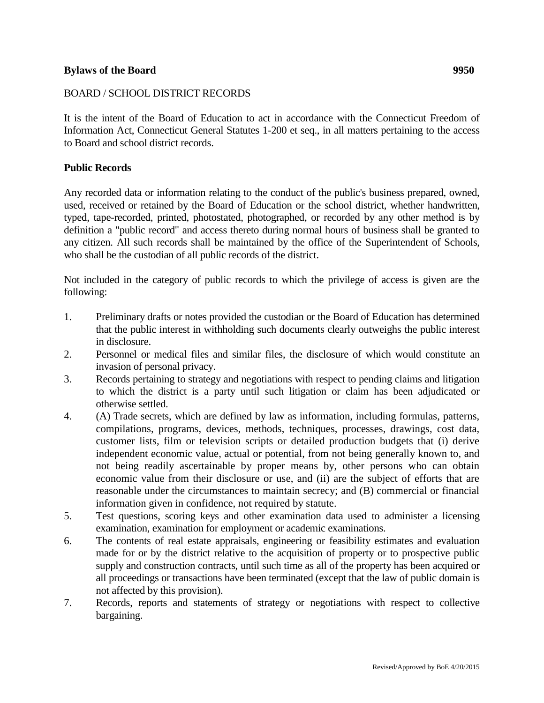## **Bylaws of the Board 9950**

## BOARD / SCHOOL DISTRICT RECORDS

It is the intent of the Board of Education to act in accordance with the Connecticut Freedom of Information Act, Connecticut General Statutes 1-200 et seq., in all matters pertaining to the access to Board and school district records.

### **Public Records**

Any recorded data or information relating to the conduct of the public's business prepared, owned, used, received or retained by the Board of Education or the school district, whether handwritten, typed, tape-recorded, printed, photostated, photographed, or recorded by any other method is by definition a "public record" and access thereto during normal hours of business shall be granted to any citizen. All such records shall be maintained by the office of the Superintendent of Schools, who shall be the custodian of all public records of the district.

Not included in the category of public records to which the privilege of access is given are the following:

- 1. Preliminary drafts or notes provided the custodian or the Board of Education has determined that the public interest in withholding such documents clearly outweighs the public interest in disclosure.
- 2. Personnel or medical files and similar files, the disclosure of which would constitute an invasion of personal privacy.
- 3. Records pertaining to strategy and negotiations with respect to pending claims and litigation to which the district is a party until such litigation or claim has been adjudicated or otherwise settled.
- 4. (A) Trade secrets, which are defined by law as information, including formulas, patterns, compilations, programs, devices, methods, techniques, processes, drawings, cost data, customer lists, film or television scripts or detailed production budgets that (i) derive independent economic value, actual or potential, from not being generally known to, and not being readily ascertainable by proper means by, other persons who can obtain economic value from their disclosure or use, and (ii) are the subject of efforts that are reasonable under the circumstances to maintain secrecy; and (B) commercial or financial information given in confidence, not required by statute.
- 5. Test questions, scoring keys and other examination data used to administer a licensing examination, examination for employment or academic examinations.
- 6. The contents of real estate appraisals, engineering or feasibility estimates and evaluation made for or by the district relative to the acquisition of property or to prospective public supply and construction contracts, until such time as all of the property has been acquired or all proceedings or transactions have been terminated (except that the law of public domain is not affected by this provision).
- 7. Records, reports and statements of strategy or negotiations with respect to collective bargaining.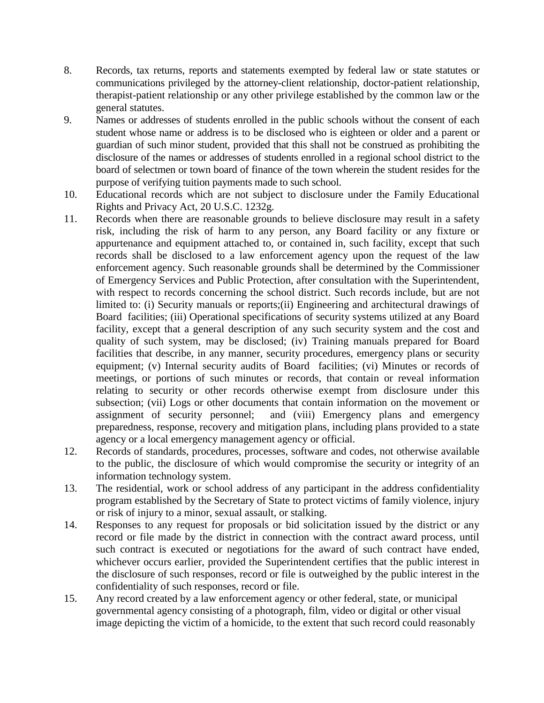- 8. Records, tax returns, reports and statements exempted by federal law or state statutes or communications privileged by the attorney-client relationship, doctor-patient relationship, therapist-patient relationship or any other privilege established by the common law or the general statutes.
- 9. Names or addresses of students enrolled in the public schools without the consent of each student whose name or address is to be disclosed who is eighteen or older and a parent or guardian of such minor student, provided that this shall not be construed as prohibiting the disclosure of the names or addresses of students enrolled in a regional school district to the board of selectmen or town board of finance of the town wherein the student resides for the purpose of verifying tuition payments made to such school.
- 10. Educational records which are not subject to disclosure under the Family Educational Rights and Privacy Act, 20 U.S.C. 1232g.
- 11. Records when there are reasonable grounds to believe disclosure may result in a safety risk, including the risk of harm to any person, any Board facility or any fixture or appurtenance and equipment attached to, or contained in, such facility, except that such records shall be disclosed to a law enforcement agency upon the request of the law enforcement agency. Such reasonable grounds shall be determined by the Commissioner of Emergency Services and Public Protection, after consultation with the Superintendent, with respect to records concerning the school district. Such records include, but are not limited to: (i) Security manuals or reports;(ii) Engineering and architectural drawings of Board facilities; (iii) Operational specifications of security systems utilized at any Board facility, except that a general description of any such security system and the cost and quality of such system, may be disclosed; (iv) Training manuals prepared for Board facilities that describe, in any manner, security procedures, emergency plans or security equipment; (v) Internal security audits of Board facilities; (vi) Minutes or records of meetings, or portions of such minutes or records, that contain or reveal information relating to security or other records otherwise exempt from disclosure under this subsection; (vii) Logs or other documents that contain information on the movement or assignment of security personnel; and (viii) Emergency plans and emergency and (viii) Emergency plans and emergency preparedness, response, recovery and mitigation plans, including plans provided to a state agency or a local emergency management agency or official.
- 12. Records of standards, procedures, processes, software and codes, not otherwise available to the public, the disclosure of which would compromise the security or integrity of an information technology system.
- 13. The residential, work or school address of any participant in the address confidentiality program established by the Secretary of State to protect victims of family violence, injury or risk of injury to a minor, sexual assault, or stalking.
- 14. Responses to any request for proposals or bid solicitation issued by the district or any record or file made by the district in connection with the contract award process, until such contract is executed or negotiations for the award of such contract have ended, whichever occurs earlier, provided the Superintendent certifies that the public interest in the disclosure of such responses, record or file is outweighed by the public interest in the confidentiality of such responses, record or file.
- 15. Any record created by a law enforcement agency or other federal, state, or municipal governmental agency consisting of a photograph, film, video or digital or other visual image depicting the victim of a homicide, to the extent that such record could reasonably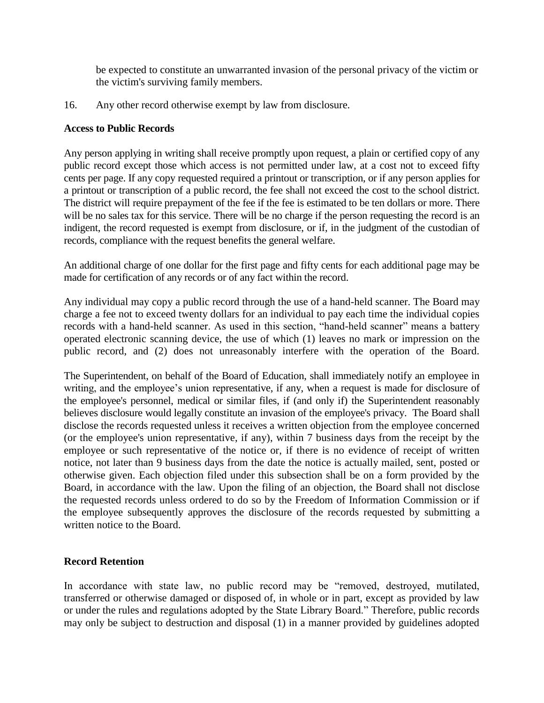be expected to constitute an unwarranted invasion of the personal privacy of the victim or the victim's surviving family members.

16. Any other record otherwise exempt by law from disclosure.

### **Access to Public Records**

Any person applying in writing shall receive promptly upon request, a plain or certified copy of any public record except those which access is not permitted under law, at a cost not to exceed fifty cents per page. If any copy requested required a printout or transcription, or if any person applies for a printout or transcription of a public record, the fee shall not exceed the cost to the school district. The district will require prepayment of the fee if the fee is estimated to be ten dollars or more. There will be no sales tax for this service. There will be no charge if the person requesting the record is an indigent, the record requested is exempt from disclosure, or if, in the judgment of the custodian of records, compliance with the request benefits the general welfare.

An additional charge of one dollar for the first page and fifty cents for each additional page may be made for certification of any records or of any fact within the record.

Any individual may copy a public record through the use of a hand-held scanner. The Board may charge a fee not to exceed twenty dollars for an individual to pay each time the individual copies records with a hand-held scanner. As used in this section, "hand-held scanner" means a battery operated electronic scanning device, the use of which (1) leaves no mark or impression on the public record, and (2) does not unreasonably interfere with the operation of the Board.

The Superintendent, on behalf of the Board of Education, shall immediately notify an employee in writing, and the employee's union representative, if any, when a request is made for disclosure of the employee's personnel, medical or similar files, if (and only if) the Superintendent reasonably believes disclosure would legally constitute an invasion of the employee's privacy. The Board shall disclose the records requested unless it receives a written objection from the employee concerned (or the employee's union representative, if any), within 7 business days from the receipt by the employee or such representative of the notice or, if there is no evidence of receipt of written notice, not later than 9 business days from the date the notice is actually mailed, sent, posted or otherwise given. Each objection filed under this subsection shall be on a form provided by the Board, in accordance with the law. Upon the filing of an objection, the Board shall not disclose the requested records unless ordered to do so by the Freedom of Information Commission or if the employee subsequently approves the disclosure of the records requested by submitting a written notice to the Board.

# **Record Retention**

In accordance with state law, no public record may be "removed, destroyed, mutilated, transferred or otherwise damaged or disposed of, in whole or in part, except as provided by law or under the rules and regulations adopted by the State Library Board." Therefore, public records may only be subject to destruction and disposal (1) in a manner provided by guidelines adopted